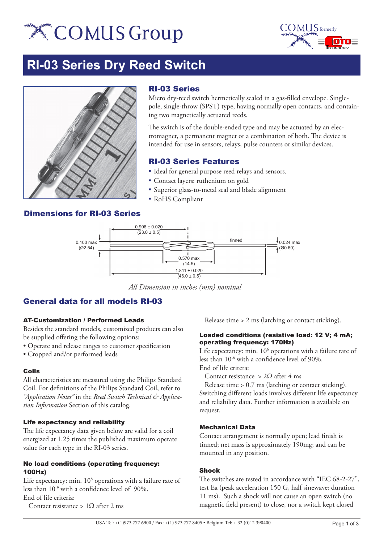# **X COMUS Group**



# **RI-03 Series Dry Reed Switch**



### RI-03 Series

Micro dry-reed switch hermetically sealed in a gas-filled envelope. Singlepole, single-throw (SPST) type, having normally open contacts, and containing two magnetically actuated reeds.

The switch is of the double-ended type and may be actuated by an electromagnet, a permanent magnet or a combination of both. The device is intended for use in sensors, relays, pulse counters or similar devices.

### RI-03 Series Features

- Ideal for general purpose reed relays and sensors.
- Contact layers: ruthenium on gold
- Superior glass-to-metal seal and blade alignment
- **RoHS** Compliant

## Dimensions for RI-03 Series



*All Dimension in inches (mm) nominal*

# General data for all models RI-03

#### AT-Customization / Performed Leads

Besides the standard models, customized products can also be supplied offering the following options:

• Operate and release ranges to customer specification

• Cropped and/or performed leads

#### Coils

All characteristics are measured using the Philips Standard Coil. For definitions of the Philips Standard Coil, refer to *"Application Notes"* in the *Reed Switch Technical & Application Information* Section of this catalog.

#### Life expectancy and reliability

The life expectancy data given below are valid for a coil energized at 1.25 times the published maximum operate value for each type in the RI-03 series.

#### No load conditions (operating frequency: 100Hz)

Life expectancy: min.  $10^8$  operations with a failure rate of less than 10-9 with a confidence level of 90%. End of life criteria:

Contact resistance > 1Ω after 2 ms

Release time > 2 ms (latching or contact sticking).

#### Loaded conditions (resistive load: 12 V; 4 mA; operating frequency: 170Hz)

Life expectancy: min. 10<sup>6</sup> operations with a failure rate of less than 10-8 with a confidence level of 90%. End of life critera:

Contact resistance >  $2\Omega$  after 4 ms

 Release time > 0.7 ms (latching or contact sticking). Switching different loads involves different life expectancy and reliability data. Further information is available on request.

#### Mechanical Data

Contact arrangement is normally open; lead finish is tinned; net mass is approximately 190mg; and can be mounted in any position.

#### Shock

The switches are tested in accordance with "IEC 68-2-27", test Ea (peak acceleration 150 G, half sinewave; duration 11 ms). Such a shock will not cause an open switch (no magnetic field present) to close, nor a switch kept closed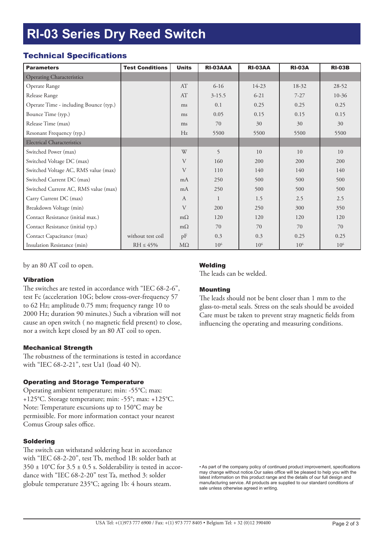# **RI-03 Series Dry Reed Switch**

## Technical Specifications

| <b>Parameters</b>                      | <b>Test Conditions</b> | <b>Units</b> | RI-03AAA        | <b>RI-03AA</b>  | <b>RI-03A</b>   | <b>RI-03B</b>   |
|----------------------------------------|------------------------|--------------|-----------------|-----------------|-----------------|-----------------|
| <b>Operating Characteristics</b>       |                        |              |                 |                 |                 |                 |
| Operate Range                          |                        | AT           | $6 - 16$        | 14-23           | 18-32           | $28-52$         |
| Release Range                          |                        | AT           | $3 - 15.5$      | $6 - 21$        | $7 - 27$        | $10-36$         |
| Operate Time - including Bounce (typ.) |                        | ms           | 0.1             | 0.25            | 0.25            | 0.25            |
| Bounce Time (typ.)                     |                        | ms           | 0.05            | 0.15            | 0.15            | 0.15            |
| Release Time (max)                     |                        | ms           | 70              | 30              | 30              | 30              |
| Resonant Frequency (typ.)              |                        | Hz           | 5500            | 5500            | 5500            | 5500            |
| <b>Electrical Characteristics</b>      |                        |              |                 |                 |                 |                 |
| Switched Power (max)                   |                        | W            | 5               | 10              | 10              | 10              |
| Switched Voltage DC (max)              |                        | V            | 160             | 200             | 200             | 200             |
| Switched Voltage AC, RMS value (max)   |                        | V            | 110             | 140             | 140             | 140             |
| Switched Current DC (max)              |                        | mA           | 250             | 500             | 500             | 500             |
| Switched Current AC, RMS value (max)   |                        | mA           | 250             | 500             | 500             | 500             |
| Carry Current DC (max)                 |                        | $\mathbf{A}$ | $\mathbf{1}$    | 1.5             | 2.5             | 2.5             |
| Breakdown Voltage (min)                |                        | $\mathbf{V}$ | 200             | 250             | 300             | 350             |
| Contact Resistance (initial max.)      |                        | $m\Omega$    | 120             | 120             | 120             | 120             |
| Contact Resistance (initial typ.)      |                        | $m\Omega$    | 70              | 70              | 70              | 70              |
| Contact Capacitance (max)              | without test coil      | pF           | 0.3             | 0.3             | 0.25            | 0.25            |
| Insulation Resistance (min)            | $RH \leq 45\%$         | $M\Omega$    | 10 <sup>6</sup> | 10 <sup>6</sup> | 10 <sup>6</sup> | 10 <sup>6</sup> |

by an 80 AT coil to open.

#### Vibration

The switches are tested in accordance with "IEC 68-2-6", test Fc (acceleration 10G; below cross-over-frequency 57 to 62 Hz; amplitude 0.75 mm; frequency range 10 to 2000 Hz; duration 90 minutes.) Such a vibration will not cause an open switch ( no magnetic field present) to close, nor a switch kept closed by an 80 AT coil to open.

#### Mechanical Strength

The robustness of the terminations is tested in accordance with "IEC 68-2-21", test Ua1 (load 40 N).

#### Operating and Storage Temperature

Operating ambient temperature; min: -55°C; max: +125°C. Storage temperature; min: -55°; max: +125°C. Note: Temperature excursions up to 150°C may be permissible. For more information contact your nearest Comus Group sales office.

#### Soldering

The switch can withstand soldering heat in accordance with "IEC 68-2-20", test Tb, method 1B: solder bath at  $350 \pm 10^{\circ}$ C for  $3.5 \pm 0.5$  s. Solderability is tested in accordance with "IEC 68-2-20" test Ta, method 3: solder globule temperature 235°C; ageing 1b: 4 hours steam.

#### **Welding**

The leads can be welded.

#### Mounting

The leads should not be bent closer than 1 mm to the glass-to-metal seals. Stress on the seals should be avoided Care must be taken to prevent stray magnetic fields from influencing the operating and measuring conditions.

• As part of the company policy of continued product improvement, specifications may change without notice.Our sales office will be pleased to help you with the latest information on this product range and the details of our full design and manufacturing service. All products are supplied to our standard conditions of sale unless otherwise agreed in writing.